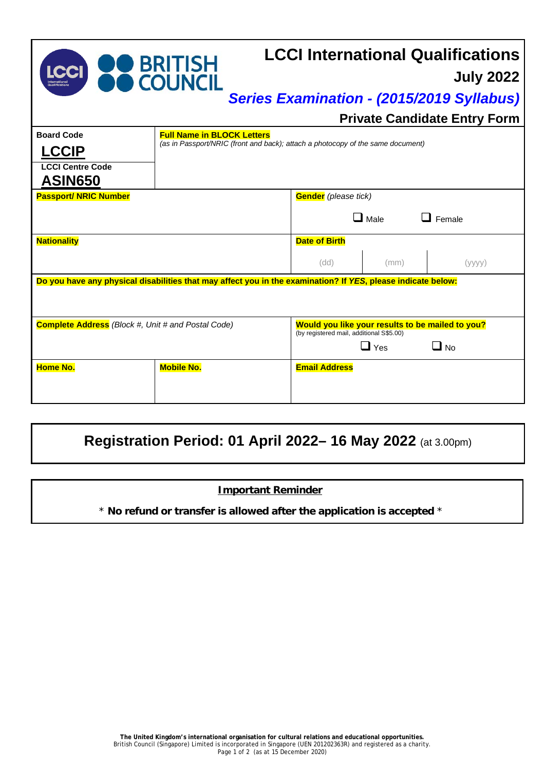| <b>LCCI</b>                                                  | <b>DO BRITISH<br/>DO COUNCIL</b>                                                                                     |                                                                                                                         |             | <b>LCCI International Qualifications</b><br><b>July 2022</b><br><b>Series Examination - (2015/2019 Syllabus)</b><br><b>Private Candidate Entry Form</b> |
|--------------------------------------------------------------|----------------------------------------------------------------------------------------------------------------------|-------------------------------------------------------------------------------------------------------------------------|-------------|---------------------------------------------------------------------------------------------------------------------------------------------------------|
| <b>Board Code</b><br><b>LCCIP</b><br><b>LCCI Centre Code</b> | <b>Full Name in BLOCK Letters</b><br>(as in Passport/NRIC (front and back); attach a photocopy of the same document) |                                                                                                                         |             |                                                                                                                                                         |
| <b>ASIN650</b><br><b>Passport/ NRIC Number</b>               |                                                                                                                      | <b>Gender</b> (please tick)                                                                                             | $\Box$ Male | Female                                                                                                                                                  |
| <b>Nationality</b>                                           |                                                                                                                      | <b>Date of Birth</b><br>(dd)                                                                                            | (mm)        | (yyyy)                                                                                                                                                  |
|                                                              | Do you have any physical disabilities that may affect you in the examination? If YES, please indicate below:         |                                                                                                                         |             |                                                                                                                                                         |
| <b>Complete Address</b> (Block #, Unit # and Postal Code)    |                                                                                                                      | Would you like your results to be mailed to you?<br>(by registered mail, additional S\$5.00)<br>$\Box$ Yes<br>$\Box$ No |             |                                                                                                                                                         |
| <b>Home No.</b>                                              | <b>Mobile No.</b>                                                                                                    | <b>Email Address</b>                                                                                                    |             |                                                                                                                                                         |

## **Registration Period: 01 April 2022– 16 May 2022** (at 3.00pm)

## **Important Reminder**

\* **No refund or transfer is allowed after the application is accepted** \*